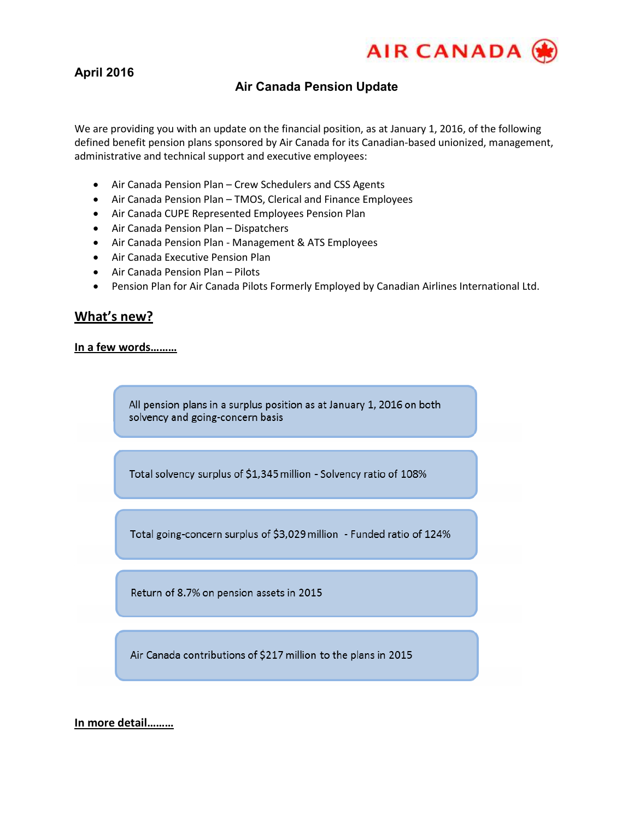

# **April 2016**

### **Air Canada Pension Update**

We are providing you with an update on the financial position, as at January 1, 2016, of the following defined benefit pension plans sponsored by Air Canada for its Canadian-based unionized, management, administrative and technical support and executive employees:

- Air Canada Pension Plan Crew Schedulers and CSS Agents
- Air Canada Pension Plan TMOS, Clerical and Finance Employees
- Air Canada CUPE Represented Employees Pension Plan
- Air Canada Pension Plan Dispatchers
- Air Canada Pension Plan Management & ATS Employees
- Air Canada Executive Pension Plan
- Air Canada Pension Plan Pilots
- Pension Plan for Air Canada Pilots Formerly Employed by Canadian Airlines International Ltd.

### **What's new?**

#### **In a few words………**

All pension plans in a surplus position as at January 1, 2016 on both solvency and going-concern basis

Total solvency surplus of \$1,345 million - Solvency ratio of 108%

Total going-concern surplus of \$3,029 million - Funded ratio of 124%

Return of 8.7% on pension assets in 2015

Air Canada contributions of \$217 million to the plans in 2015

#### **In more detail………**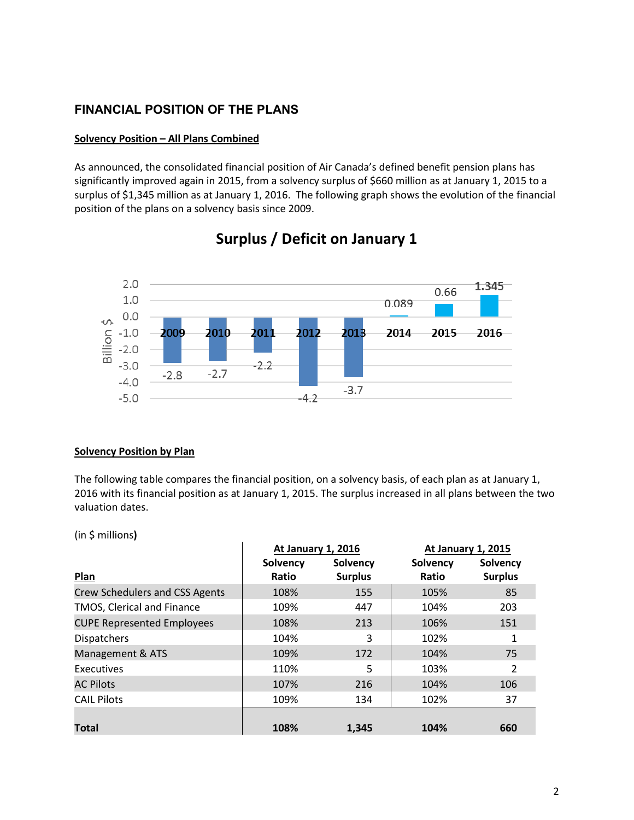## **FINANCIAL POSITION OF THE PLANS**

#### **Solvency Position – All Plans Combined**

As announced, the consolidated financial position of Air Canada's defined benefit pension plans has significantly improved again in 2015, from a solvency surplus of \$660 million as at January 1, 2015 to a surplus of \$1,345 million as at January 1, 2016. The following graph shows the evolution of the financial position of the plans on a solvency basis since 2009.



# **Surplus / Deficit on January 1**

#### **Solvency Position by Plan**

The following table compares the financial position, on a solvency basis, of each plan as at January 1, 2016 with its financial position as at January 1, 2015. The surplus increased in all plans between the two valuation dates.

(in \$ millions**)**

|                                       | <b>At January 1, 2016</b> |                | <b>At January 1, 2015</b> |                |
|---------------------------------------|---------------------------|----------------|---------------------------|----------------|
|                                       | Solvency                  | Solvency       | Solvency                  | Solvency       |
| <b>Plan</b>                           | Ratio                     | <b>Surplus</b> | Ratio                     | <b>Surplus</b> |
| <b>Crew Schedulers and CSS Agents</b> | 108%                      | 155            | 105%                      | 85             |
| TMOS, Clerical and Finance            | 109%                      | 447            | 104%                      | 203            |
| <b>CUPE Represented Employees</b>     | 108%                      | 213            | 106%                      | 151            |
| <b>Dispatchers</b>                    | 104%                      | 3              | 102%                      | 1              |
| Management & ATS                      | 109%                      | 172            | 104%                      | 75             |
| Executives                            | 110%                      | 5              | 103%                      | 2              |
| <b>AC Pilots</b>                      | 107%                      | 216            | 104%                      | 106            |
| <b>CAIL Pilots</b>                    | 109%                      | 134            | 102%                      | 37             |
|                                       |                           |                |                           |                |
| Total                                 | 108%                      | 1.345          | 104%                      | 660            |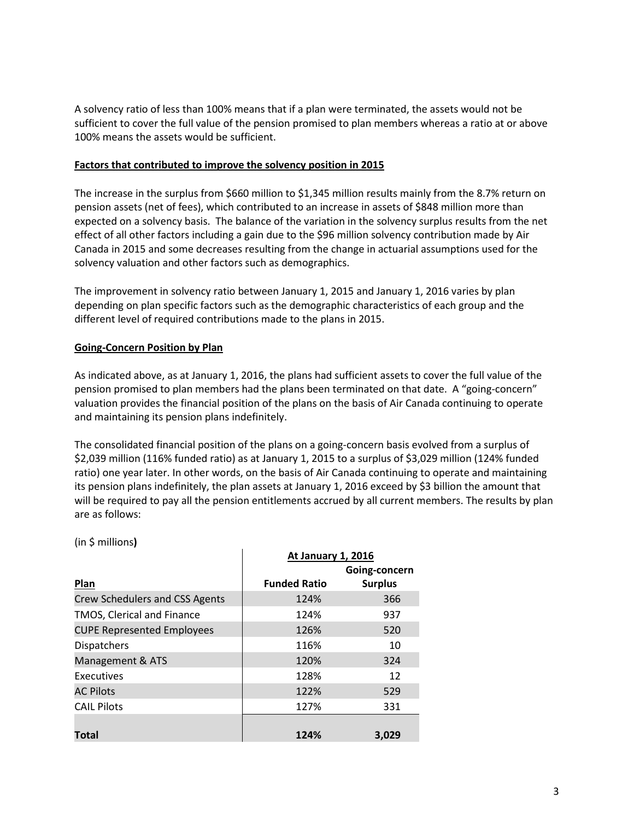A solvency ratio of less than 100% means that if a plan were terminated, the assets would not be sufficient to cover the full value of the pension promised to plan members whereas a ratio at or above 100% means the assets would be sufficient.

#### **Factors that contributed to improve the solvency position in 2015**

The increase in the surplus from \$660 million to \$1,345 million results mainly from the 8.7% return on pension assets (net of fees), which contributed to an increase in assets of \$848 million more than expected on a solvency basis. The balance of the variation in the solvency surplus results from the net effect of all other factors including a gain due to the \$96 million solvency contribution made by Air Canada in 2015 and some decreases resulting from the change in actuarial assumptions used for the solvency valuation and other factors such as demographics.

The improvement in solvency ratio between January 1, 2015 and January 1, 2016 varies by plan depending on plan specific factors such as the demographic characteristics of each group and the different level of required contributions made to the plans in 2015.

#### **Going-Concern Position by Plan**

As indicated above, as at January 1, 2016, the plans had sufficient assets to cover the full value of the pension promised to plan members had the plans been terminated on that date. A "going-concern" valuation provides the financial position of the plans on the basis of Air Canada continuing to operate and maintaining its pension plans indefinitely.

The consolidated financial position of the plans on a going-concern basis evolved from a surplus of \$2,039 million (116% funded ratio) as at January 1, 2015 to a surplus of \$3,029 million (124% funded ratio) one year later. In other words, on the basis of Air Canada continuing to operate and maintaining its pension plans indefinitely, the plan assets at January 1, 2016 exceed by \$3 billion the amount that will be required to pay all the pension entitlements accrued by all current members. The results by plan are as follows:

|                                       | <b>At January 1, 2016</b> |                |
|---------------------------------------|---------------------------|----------------|
|                                       |                           | Going-concern  |
| Plan                                  | <b>Funded Ratio</b>       | <b>Surplus</b> |
| <b>Crew Schedulers and CSS Agents</b> | 124%                      | 366            |
| TMOS, Clerical and Finance            | 124%                      | 937            |
| <b>CUPE Represented Employees</b>     | 126%                      | 520            |
| <b>Dispatchers</b>                    | 116%                      | 10             |
| Management & ATS                      | 120%                      | 324            |
| Executives                            | 128%                      | 12             |
| <b>AC Pilots</b>                      | 122%                      | 529            |
| <b>CAIL Pilots</b>                    | 127%                      | 331            |
|                                       |                           |                |
| Total                                 | 124%                      | 3,029          |

#### (in \$ millions**)**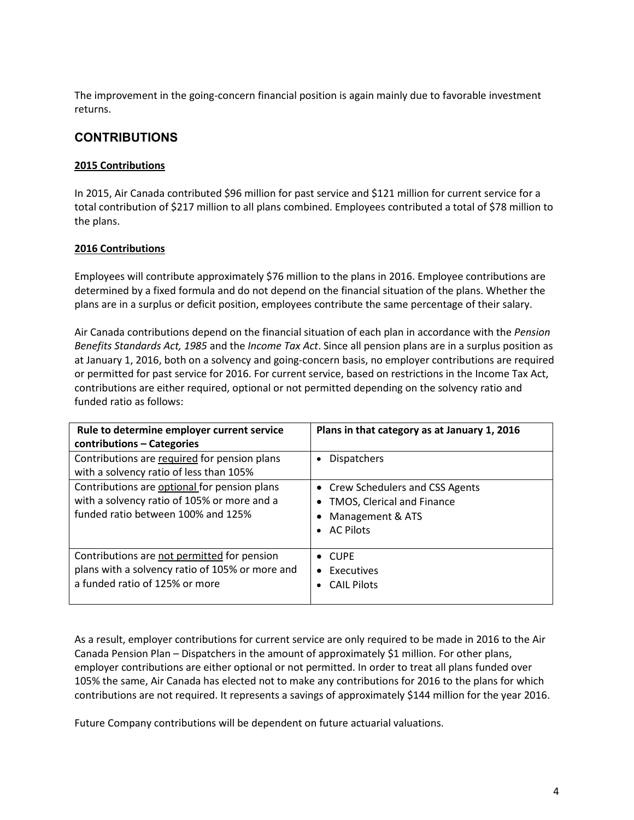The improvement in the going-concern financial position is again mainly due to favorable investment returns.

### **CONTRIBUTIONS**

#### **2015 Contributions**

In 2015, Air Canada contributed \$96 million for past service and \$121 million for current service for a total contribution of \$217 million to all plans combined. Employees contributed a total of \$78 million to the plans.

#### **2016 Contributions**

Employees will contribute approximately \$76 million to the plans in 2016. Employee contributions are determined by a fixed formula and do not depend on the financial situation of the plans. Whether the plans are in a surplus or deficit position, employees contribute the same percentage of their salary.

Air Canada contributions depend on the financial situation of each plan in accordance with the *Pension Benefits Standards Act, 1985* and the *Income Tax Act*. Since all pension plans are in a surplus position as at January 1, 2016, both on a solvency and going-concern basis, no employer contributions are required or permitted for past service for 2016. For current service, based on restrictions in the Income Tax Act, contributions are either required, optional or not permitted depending on the solvency ratio and funded ratio as follows:

| Rule to determine employer current service<br>contributions - Categories                                                          | Plans in that category as at January 1, 2016                                                           |
|-----------------------------------------------------------------------------------------------------------------------------------|--------------------------------------------------------------------------------------------------------|
| Contributions are required for pension plans<br>with a solvency ratio of less than 105%                                           | <b>Dispatchers</b><br>$\bullet$                                                                        |
| Contributions are optional for pension plans<br>with a solvency ratio of 105% or more and a<br>funded ratio between 100% and 125% | • Crew Schedulers and CSS Agents<br>TMOS, Clerical and Finance<br>Management & ATS<br><b>AC Pilots</b> |
| Contributions are not permitted for pension<br>plans with a solvency ratio of 105% or more and<br>a funded ratio of 125% or more  | $\bullet$ CUPF<br>Executives<br>$\bullet$<br><b>CAIL Pilots</b>                                        |

As a result, employer contributions for current service are only required to be made in 2016 to the Air Canada Pension Plan – Dispatchers in the amount of approximately \$1 million. For other plans, employer contributions are either optional or not permitted. In order to treat all plans funded over 105% the same, Air Canada has elected not to make any contributions for 2016 to the plans for which contributions are not required. It represents a savings of approximately \$144 million for the year 2016.

Future Company contributions will be dependent on future actuarial valuations.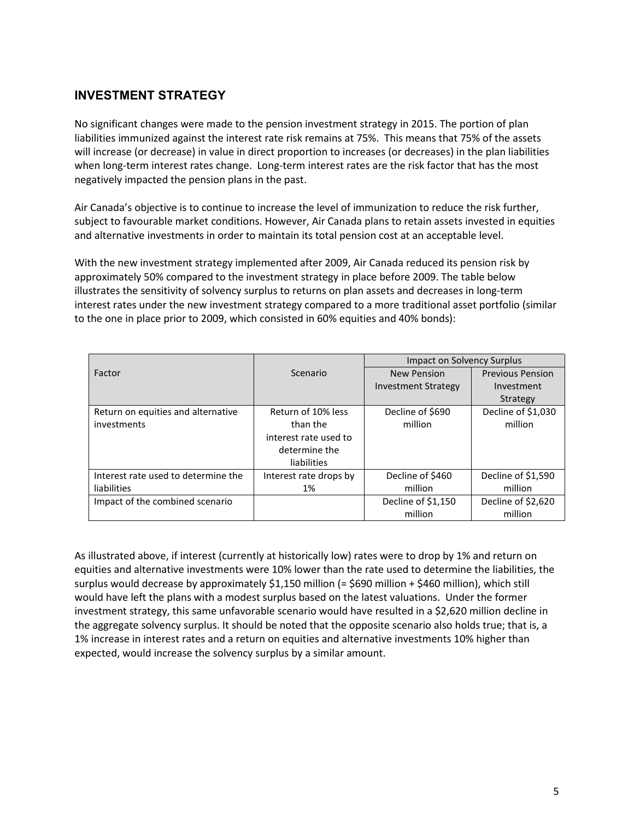# **INVESTMENT STRATEGY**

No significant changes were made to the pension investment strategy in 2015. The portion of plan liabilities immunized against the interest rate risk remains at 75%. This means that 75% of the assets will increase (or decrease) in value in direct proportion to increases (or decreases) in the plan liabilities when long-term interest rates change. Long-term interest rates are the risk factor that has the most negatively impacted the pension plans in the past.

Air Canada's objective is to continue to increase the level of immunization to reduce the risk further, subject to favourable market conditions. However, Air Canada plans to retain assets invested in equities and alternative investments in order to maintain its total pension cost at an acceptable level.

With the new investment strategy implemented after 2009, Air Canada reduced its pension risk by approximately 50% compared to the investment strategy in place before 2009. The table below illustrates the sensitivity of solvency surplus to returns on plan assets and decreases in long-term interest rates under the new investment strategy compared to a more traditional asset portfolio (similar to the one in place prior to 2009, which consisted in 60% equities and 40% bonds):

|                                     |                        | <b>Impact on Solvency Surplus</b> |                         |
|-------------------------------------|------------------------|-----------------------------------|-------------------------|
| Factor                              | Scenario               | <b>New Pension</b>                | <b>Previous Pension</b> |
|                                     |                        | Investment Strategy               | Investment              |
|                                     |                        |                                   | Strategy                |
| Return on equities and alternative  | Return of 10% less     | Decline of \$690                  | Decline of \$1,030      |
| investments                         | than the               | million                           | million                 |
|                                     | interest rate used to  |                                   |                         |
|                                     | determine the          |                                   |                         |
|                                     | liabilities            |                                   |                         |
| Interest rate used to determine the | Interest rate drops by | Decline of \$460                  | Decline of \$1,590      |
| liabilities                         | 1%                     | million                           | million                 |
| Impact of the combined scenario     |                        | Decline of \$1,150                | Decline of \$2,620      |
|                                     |                        | million                           | million                 |

As illustrated above, if interest (currently at historically low) rates were to drop by 1% and return on equities and alternative investments were 10% lower than the rate used to determine the liabilities, the surplus would decrease by approximately \$1,150 million (= \$690 million + \$460 million), which still would have left the plans with a modest surplus based on the latest valuations. Under the former investment strategy, this same unfavorable scenario would have resulted in a \$2,620 million decline in the aggregate solvency surplus. It should be noted that the opposite scenario also holds true; that is, a 1% increase in interest rates and a return on equities and alternative investments 10% higher than expected, would increase the solvency surplus by a similar amount.